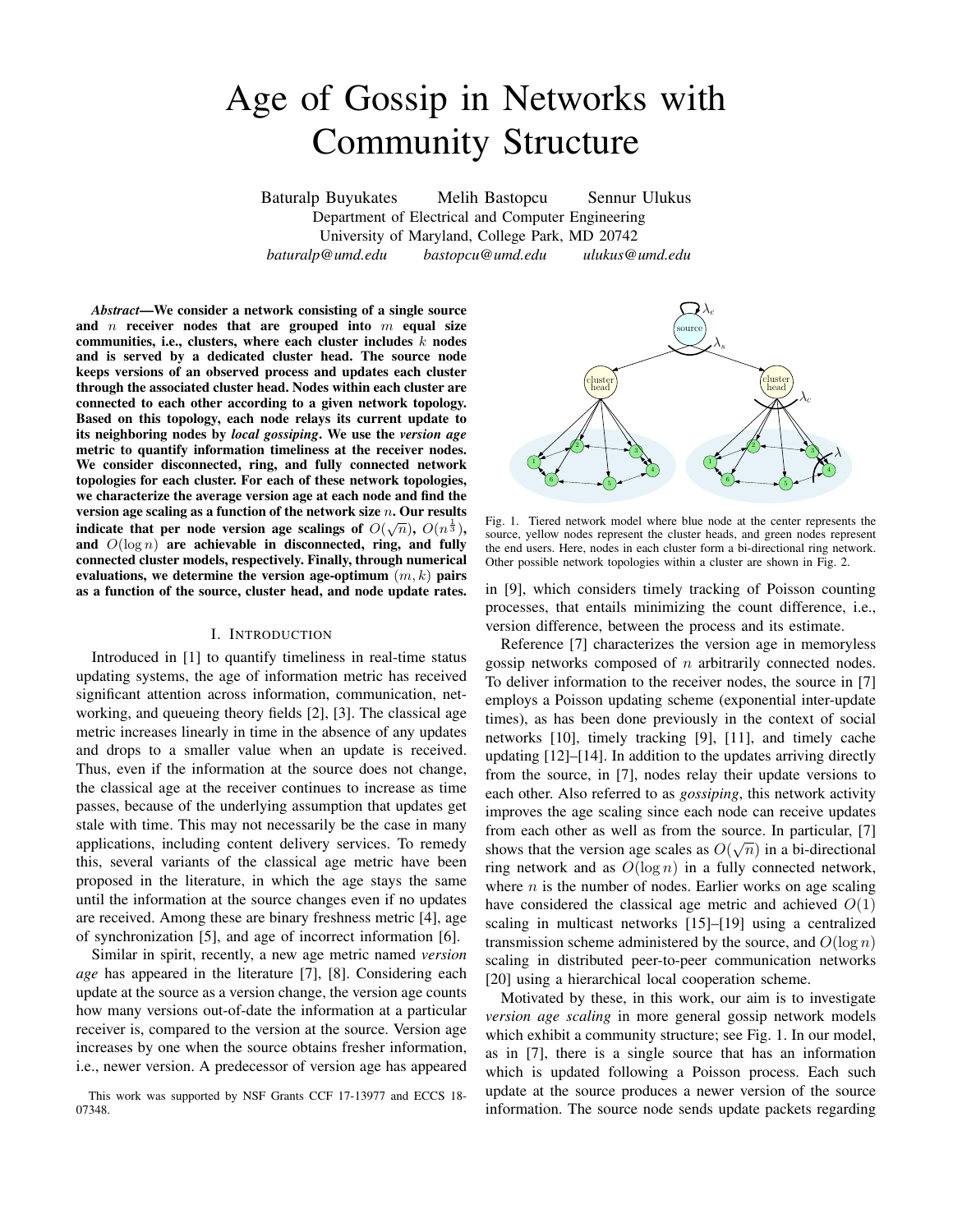# Age of Gossip in Networks with Community Structure

Baturalp Buyukates Melih Bastopcu Sennur Ulukus Department of Electrical and Computer Engineering University of Maryland, College Park, MD 20742 *baturalp@umd.edu bastopcu@umd.edu ulukus@umd.edu*

*Abstract*—We consider a network consisting of a single source and  $n$  receiver nodes that are grouped into  $m$  equal size communities, i.e., clusters, where each cluster includes  $k$  nodes and is served by a dedicated cluster head. The source node keeps versions of an observed process and updates each cluster through the associated cluster head. Nodes within each cluster are connected to each other according to a given network topology. Based on this topology, each node relays its current update to its neighboring nodes by *local gossiping*. We use the *version age* metric to quantify information timeliness at the receiver nodes. We consider disconnected, ring, and fully connected network topologies for each cluster. For each of these network topologies, we characterize the average version age at each node and find the version age scaling as a function of the network size *n*. Our results indicate that per node version age scalings of  $O(\sqrt{n})$ ,  $O(n^{\frac{1}{3}})$ , and  $O(\log n)$  are achievable in disconnected, ring, and fully connected cluster models, respectively. Finally, through numerical evaluations, we determine the version age-optimum  $(m, k)$  pairs as a function of the source, cluster head, and node update rates.

### I. INTRODUCTION

Introduced in [1] to quantify timeliness in real-time status updating systems, the age of information metric has received significant attention across information, communication, networking, and queueing theory fields [2], [3]. The classical age metric increases linearly in time in the absence of any updates and drops to a smaller value when an update is received. Thus, even if the information at the source does not change, the classical age at the receiver continues to increase as time passes, because of the underlying assumption that updates get stale with time. This may not necessarily be the case in many applications, including content delivery services. To remedy this, several variants of the classical age metric have been proposed in the literature, in which the age stays the same until the information at the source changes even if no updates are received. Among these are binary freshness metric [4], age of synchronization [5], and age of incorrect information [6].

Similar in spirit, recently, a new age metric named *version age* has appeared in the literature [7], [8]. Considering each update at the source as a version change, the version age counts how many versions out-of-date the information at a particular receiver is, compared to the version at the source. Version age increases by one when the source obtains fresher information, i.e., newer version. A predecessor of version age has appeared





Fig. 1. Tiered network model where blue node at the center represents the source, yellow nodes represent the cluster heads, and green nodes represent the end users. Here, nodes in each cluster form a bi-directional ring network. Other possible network topologies within a cluster are shown in Fig. 2.

in [9], which considers timely tracking of Poisson counting processes, that entails minimizing the count difference, i.e., version difference, between the process and its estimate.

Reference [7] characterizes the version age in memoryless gossip networks composed of  $n$  arbitrarily connected nodes. To deliver information to the receiver nodes, the source in [7] employs a Poisson updating scheme (exponential inter-update times), as has been done previously in the context of social networks [10], timely tracking [9], [11], and timely cache updating [12]–[14]. In addition to the updates arriving directly from the source, in [7], nodes relay their update versions to each other. Also referred to as *gossiping*, this network activity improves the age scaling since each node can receive updates from each other as well as from the source. In particular, [7] shows that the version age scales as  $O(\sqrt{n})$  in a bi-directional ring network and as  $O(\log n)$  in a fully connected network, where  $n$  is the number of nodes. Earlier works on age scaling have considered the classical age metric and achieved  $O(1)$ scaling in multicast networks [15]–[19] using a centralized transmission scheme administered by the source, and  $O(\log n)$ scaling in distributed peer-to-peer communication networks [20] using a hierarchical local cooperation scheme.

Motivated by these, in this work, our aim is to investigate *version age scaling* in more general gossip network models which exhibit a community structure; see Fig. 1. In our model, as in [7], there is a single source that has an information which is updated following a Poisson process. Each such update at the source produces a newer version of the source information. The source node sends update packets regarding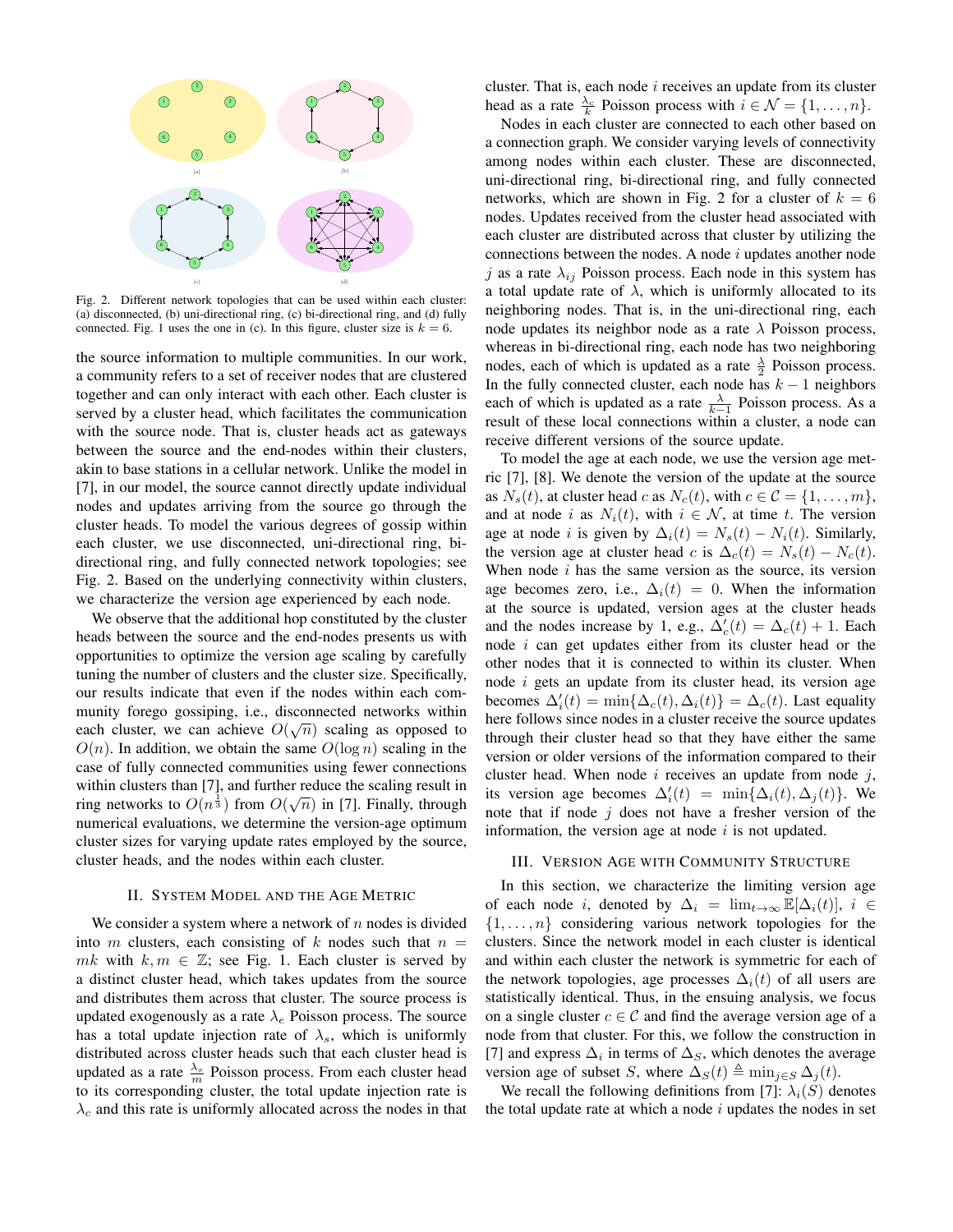

Fig. 2. Different network topologies that can be used within each cluster: (a) disconnected, (b) uni-directional ring, (c) bi-directional ring, and (d) fully connected. Fig. 1 uses the one in (c). In this figure, cluster size is  $k = 6$ .

the source information to multiple communities. In our work, a community refers to a set of receiver nodes that are clustered together and can only interact with each other. Each cluster is served by a cluster head, which facilitates the communication with the source node. That is, cluster heads act as gateways between the source and the end-nodes within their clusters, akin to base stations in a cellular network. Unlike the model in [7], in our model, the source cannot directly update individual nodes and updates arriving from the source go through the cluster heads. To model the various degrees of gossip within each cluster, we use disconnected, uni-directional ring, bidirectional ring, and fully connected network topologies; see Fig. 2. Based on the underlying connectivity within clusters, we characterize the version age experienced by each node.

We observe that the additional hop constituted by the cluster heads between the source and the end-nodes presents us with opportunities to optimize the version age scaling by carefully tuning the number of clusters and the cluster size. Specifically, our results indicate that even if the nodes within each community forego gossiping, i.e., disconnected networks within each cluster, we can achieve  $O(\sqrt{n})$  scaling as opposed to  $O(n)$ . In addition, we obtain the same  $O(\log n)$  scaling in the case of fully connected communities using fewer connections within clusters than [7], and further reduce the scaling result in ring networks to  $O(n^{\frac{1}{3}})$  from  $O(\sqrt{n})$  in [7]. Finally, through numerical evaluations, we determine the version-age optimum cluster sizes for varying update rates employed by the source, cluster heads, and the nodes within each cluster.

## II. SYSTEM MODEL AND THE AGE METRIC

We consider a system where a network of  $n$  nodes is divided into m clusters, each consisting of k nodes such that  $n =$ mk with  $k, m \in \mathbb{Z}$ ; see Fig. 1. Each cluster is served by a distinct cluster head, which takes updates from the source and distributes them across that cluster. The source process is updated exogenously as a rate  $\lambda_e$  Poisson process. The source has a total update injection rate of  $\lambda_s$ , which is uniformly distributed across cluster heads such that each cluster head is updated as a rate  $\frac{\lambda_s}{m}$  Poisson process. From each cluster head to its corresponding cluster, the total update injection rate is  $\lambda_c$  and this rate is uniformly allocated across the nodes in that cluster. That is, each node  $i$  receives an update from its cluster head as a rate  $\frac{\lambda_c}{k}$  Poisson process with  $i \in \mathcal{N} = \{1, \dots, n\}.$ 

Nodes in each cluster are connected to each other based on a connection graph. We consider varying levels of connectivity among nodes within each cluster. These are disconnected, uni-directional ring, bi-directional ring, and fully connected networks, which are shown in Fig. 2 for a cluster of  $k = 6$ nodes. Updates received from the cluster head associated with each cluster are distributed across that cluster by utilizing the connections between the nodes. A node  $i$  updates another node j as a rate  $\lambda_{ij}$  Poisson process. Each node in this system has a total update rate of  $\lambda$ , which is uniformly allocated to its neighboring nodes. That is, in the uni-directional ring, each node updates its neighbor node as a rate  $\lambda$  Poisson process, whereas in bi-directional ring, each node has two neighboring nodes, each of which is updated as a rate  $\frac{\lambda}{2}$  Poisson process. In the fully connected cluster, each node has  $k - 1$  neighbors each of which is updated as a rate  $\frac{\lambda}{k-1}$  Poisson process. As a result of these local connections within a cluster, a node can receive different versions of the source update.

To model the age at each node, we use the version age metric [7], [8]. We denote the version of the update at the source as  $N_s(t)$ , at cluster head c as  $N_c(t)$ , with  $c \in \mathcal{C} = \{1, \ldots, m\}$ , and at node i as  $N_i(t)$ , with  $i \in \mathcal{N}$ , at time t. The version age at node *i* is given by  $\Delta_i(t) = N_s(t) - N_i(t)$ . Similarly, the version age at cluster head c is  $\Delta_c(t) = N_s(t) - N_c(t)$ . When node  $i$  has the same version as the source, its version age becomes zero, i.e.,  $\Delta_i(t) = 0$ . When the information at the source is updated, version ages at the cluster heads and the nodes increase by 1, e.g.,  $\Delta'_{c}(t) = \Delta_{c}(t) + 1$ . Each node  $i$  can get updates either from its cluster head or the other nodes that it is connected to within its cluster. When node i gets an update from its cluster head, its version age becomes  $\Delta_i'(t) = \min{\{\Delta_c(t), \Delta_i(t)\}} = \Delta_c(t)$ . Last equality here follows since nodes in a cluster receive the source updates through their cluster head so that they have either the same version or older versions of the information compared to their cluster head. When node i receives an update from node j, its version age becomes  $\Delta_i'(t) = \min{\{\Delta_i(t), \Delta_j(t)\}}$ . We note that if node  $j$  does not have a fresher version of the information, the version age at node  $i$  is not updated.

## III. VERSION AGE WITH COMMUNITY STRUCTURE

In this section, we characterize the limiting version age of each node i, denoted by  $\Delta_i = \lim_{t \to \infty} \mathbb{E}[\Delta_i(t)], i \in$  $\{1, \ldots, n\}$  considering various network topologies for the clusters. Since the network model in each cluster is identical and within each cluster the network is symmetric for each of the network topologies, age processes  $\Delta_i(t)$  of all users are statistically identical. Thus, in the ensuing analysis, we focus on a single cluster  $c \in \mathcal{C}$  and find the average version age of a node from that cluster. For this, we follow the construction in [7] and express  $\Delta_i$  in terms of  $\Delta_S$ , which denotes the average version age of subset S, where  $\Delta_S(t) \triangleq \min_{j \in S} \Delta_j(t)$ .

We recall the following definitions from [7]:  $\lambda_i(S)$  denotes the total update rate at which a node  $i$  updates the nodes in set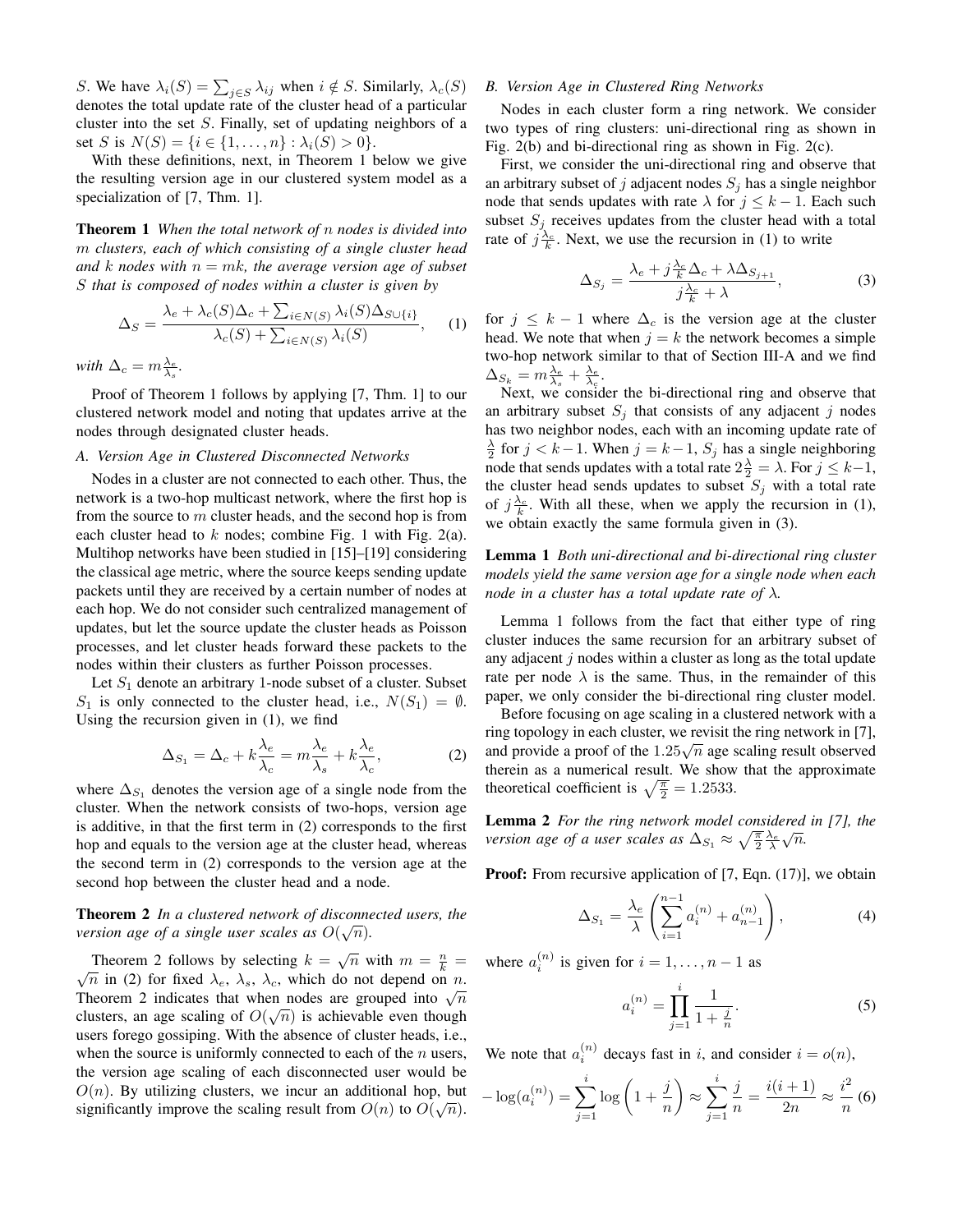S. We have  $\lambda_i(S) = \sum_{j \in S} \lambda_{ij}$  when  $i \notin S$ . Similarly,  $\lambda_c(S)$ denotes the total update rate of the cluster head of a particular cluster into the set S. Finally, set of updating neighbors of a set S is  $N(S) = \{i \in \{1, ..., n\} : \lambda_i(S) > 0\}.$ 

With these definitions, next, in Theorem 1 below we give the resulting version age in our clustered system model as a specialization of [7, Thm. 1].

Theorem 1 *When the total network of* n *nodes is divided into* m *clusters, each of which consisting of a single cluster head and* k *nodes* with  $n = mk$ , the average version age of subset S *that is composed of nodes within a cluster is given by*

$$
\Delta_S = \frac{\lambda_e + \lambda_c(S)\Delta_c + \sum_{i \in N(S)} \lambda_i(S)\Delta_{S \cup \{i\}}}{\lambda_c(S) + \sum_{i \in N(S)} \lambda_i(S)},
$$
 (1)

*with*  $\Delta_c = m \frac{\lambda_e}{\lambda_s}$ .

Proof of Theorem 1 follows by applying [7, Thm. 1] to our clustered network model and noting that updates arrive at the nodes through designated cluster heads.

# *A. Version Age in Clustered Disconnected Networks*

Nodes in a cluster are not connected to each other. Thus, the network is a two-hop multicast network, where the first hop is from the source to  $m$  cluster heads, and the second hop is from each cluster head to  $k$  nodes; combine Fig. 1 with Fig. 2(a). Multihop networks have been studied in [15]–[19] considering the classical age metric, where the source keeps sending update packets until they are received by a certain number of nodes at each hop. We do not consider such centralized management of updates, but let the source update the cluster heads as Poisson processes, and let cluster heads forward these packets to the nodes within their clusters as further Poisson processes.

Let  $S_1$  denote an arbitrary 1-node subset of a cluster. Subset  $S_1$  is only connected to the cluster head, i.e.,  $N(S_1) = \emptyset$ . Using the recursion given in (1), we find

$$
\Delta_{S_1} = \Delta_c + k \frac{\lambda_e}{\lambda_c} = m \frac{\lambda_e}{\lambda_s} + k \frac{\lambda_e}{\lambda_c},\tag{2}
$$

where  $\Delta_{S_1}$  denotes the version age of a single node from the cluster. When the network consists of two-hops, version age is additive, in that the first term in (2) corresponds to the first hop and equals to the version age at the cluster head, whereas the second term in (2) corresponds to the version age at the second hop between the cluster head and a node.

# Theorem 2 *In a clustered network of disconnected users, the* √ *version age of a single user scales as*  $O(\sqrt{n})$ *.*

Theorem 2 follows by selecting  $k = \sqrt{n}$  with  $m = \frac{n}{k} = \sqrt{n}$ .  $\sqrt{n}$  in (2) for fixed  $\lambda_e$ ,  $\lambda_s$ ,  $\lambda_c$ , which do not depend on n.  $\sqrt{n}$  in (2) for fixed  $\lambda_e$ ,  $\lambda_s$ ,  $\lambda_c$ , which do not depend on *n*.<br>Theorem 2 indicates that when nodes are grouped into  $\sqrt{n}$ clusters, an age scaling of  $O(\sqrt{n})$  is achievable even though users forego gossiping. With the absence of cluster heads, i.e., when the source is uniformly connected to each of the  $n$  users, the version age scaling of each disconnected user would be  $O(n)$ . By utilizing clusters, we incur an additional hop, but significantly improve the scaling result from  $O(n)$  to  $O(\sqrt{n})$ .

# *B. Version Age in Clustered Ring Networks*

Nodes in each cluster form a ring network. We consider two types of ring clusters: uni-directional ring as shown in Fig. 2(b) and bi-directional ring as shown in Fig. 2(c).

First, we consider the uni-directional ring and observe that an arbitrary subset of j adjacent nodes  $S_i$  has a single neighbor node that sends updates with rate  $\lambda$  for  $j \leq k - 1$ . Each such subset  $S_j$  receives updates from the cluster head with a total rate of  $j\frac{\lambda_c}{k}$ . Next, we use the recursion in (1) to write

$$
\Delta_{S_j} = \frac{\lambda_e + j\frac{\lambda_e}{k}\Delta_c + \lambda\Delta_{S_{j+1}}}{j\frac{\lambda_e}{k} + \lambda},\tag{3}
$$

for  $j \leq k-1$  where  $\Delta_c$  is the version age at the cluster head. We note that when  $j = k$  the network becomes a simple two-hop network similar to that of Section III-A and we find  $\Delta_{S_k} = m \frac{\lambda_e}{\lambda_s} + \frac{\lambda_e}{\lambda_c}.$ 

Next, we consider the bi-directional ring and observe that an arbitrary subset  $S_i$  that consists of any adjacent j nodes has two neighbor nodes, each with an incoming update rate of  $\frac{\lambda}{2}$  for  $j < k-1$ . When  $j = k-1$ ,  $S_j$  has a single neighboring node that sends updates with a total rate  $2\frac{\lambda}{2} = \lambda$ . For  $j \leq k-1$ , the cluster head sends updates to subset  $S_j$  with a total rate of  $j\frac{\lambda_c}{k}$ . With all these, when we apply the recursion in (1), we obtain exactly the same formula given in (3).

Lemma 1 *Both uni-directional and bi-directional ring cluster models yield the same version age for a single node when each node in a cluster has a total update rate of* λ*.*

Lemma 1 follows from the fact that either type of ring cluster induces the same recursion for an arbitrary subset of any adjacent  $j$  nodes within a cluster as long as the total update rate per node  $\lambda$  is the same. Thus, in the remainder of this paper, we only consider the bi-directional ring cluster model.

Before focusing on age scaling in a clustered network with a ring topology in each cluster, we revisit the ring network in [7], ring topology in each cluster, we revisit the ring network in  $[7]$ , and provide a proof of the  $1.25\sqrt{n}$  age scaling result observed therein as a numerical result. We show that the approximate theoretical coefficient is  $\sqrt{\frac{\pi}{2}} = 1.2533$ .

**Lemma 2** *For the ring network model considered in [7], the version age of a user scales as*  $\Delta_{S_1} \approx \sqrt{\frac{\pi}{2}} \frac{\lambda_e}{\lambda} \sqrt{n}$ .

**Proof:** From recursive application of [7, Eqn. (17)], we obtain

$$
\Delta_{S_1} = \frac{\lambda_e}{\lambda} \left( \sum_{i=1}^{n-1} a_i^{(n)} + a_{n-1}^{(n)} \right), \tag{4}
$$

where  $a_i^{(n)}$  is given for  $i = 1, \dots, n - 1$  as

$$
a_i^{(n)} = \prod_{j=1}^i \frac{1}{1 + \frac{j}{n}}.\tag{5}
$$

We note that  $a_i^{(n)}$  decays fast in i, and consider  $i = o(n)$ ,

$$
-\log(a_i^{(n)}) = \sum_{j=1}^i \log\left(1 + \frac{j}{n}\right) \approx \sum_{j=1}^i \frac{j}{n} = \frac{i(i+1)}{2n} \approx \frac{i^2}{n} \tag{6}
$$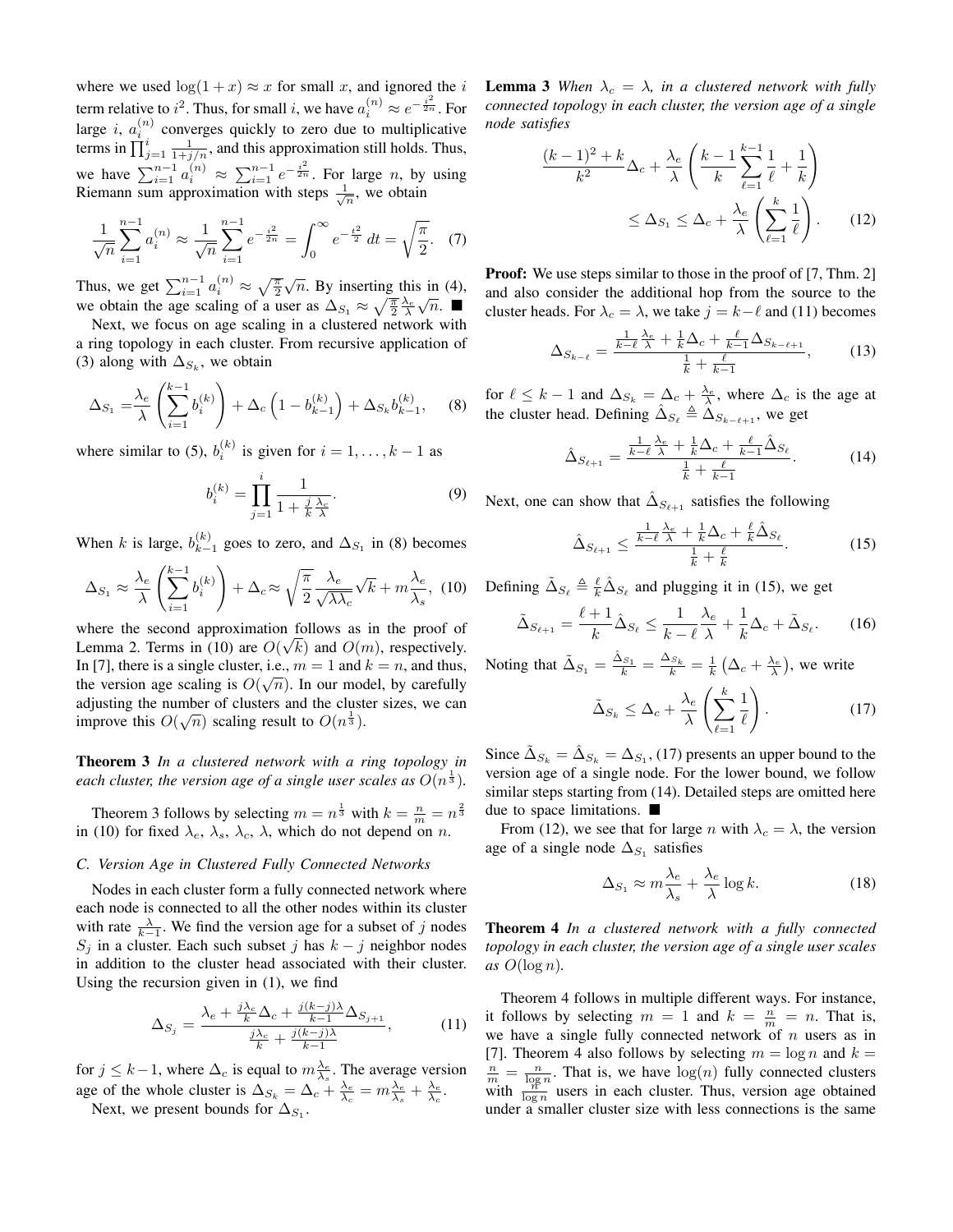where we used  $\log(1 + x) \approx x$  for small x, and ignored the i term relative to  $i^2$ . Thus, for small i, we have  $a_i^{(n)} \approx e^{-\frac{i^2}{2n}}$ . For large *i*,  $a_i^{(n)}$  converges quickly to zero due to multiplicative terms in  $\prod_{j=1}^{i} \frac{1}{1+j/n}$ , and this approximation still holds. Thus, we have  $\sum_{i=1}^{n-1} a_i^{(n)} \approx \sum_{i=1}^{n-1} e^{-\frac{i^2}{2n}}$ . For large *n*, by using Riemann sum approximation with steps  $\frac{1}{\sqrt{n}}$ , we obtain

$$
\frac{1}{\sqrt{n}} \sum_{i=1}^{n-1} a_i^{(n)} \approx \frac{1}{\sqrt{n}} \sum_{i=1}^{n-1} e^{-\frac{i^2}{2n}} = \int_0^\infty e^{-\frac{t^2}{2}} dt = \sqrt{\frac{\pi}{2}}. \tag{7}
$$

Thus, we get  $\sum_{i=1}^{n-1} a_i^{(n)} \approx \sqrt{\frac{\pi}{2}}$  $\sqrt{n}$ . By inserting this in (4), we obtain the age scaling of a user as  $\Delta_{S_1} \approx \sqrt{\frac{\pi}{2}} \frac{\lambda_e}{\lambda} \sqrt{n}$ .

Next, we focus on age scaling in a clustered network with a ring topology in each cluster. From recursive application of (3) along with  $\Delta_{S_k}$ , we obtain

$$
\Delta_{S_1} = \frac{\lambda_e}{\lambda} \left( \sum_{i=1}^{k-1} b_i^{(k)} \right) + \Delta_c \left( 1 - b_{k-1}^{(k)} \right) + \Delta_{S_k} b_{k-1}^{(k)}, \quad (8)
$$

where similar to (5),  $b_i^{(k)}$  is given for  $i = 1, ..., k - 1$  as

$$
b_i^{(k)} = \prod_{j=1}^i \frac{1}{1 + \frac{j}{k} \frac{\lambda_c}{\lambda}}.\tag{9}
$$

When k is large,  $b_{k-}^{(k)}$  $\lambda_{k-1}^{(k)}$  goes to zero, and  $\Delta_{S_1}$  in (8) becomes

$$
\Delta_{S_1} \approx \frac{\lambda_e}{\lambda} \left( \sum_{i=1}^{k-1} b_i^{(k)} \right) + \Delta_c \approx \sqrt{\frac{\pi}{2}} \frac{\lambda_e}{\sqrt{\lambda \lambda_c}} \sqrt{k} + m \frac{\lambda_e}{\lambda_s}, \tag{10}
$$

where the second approximation follows as in the proof of Lemma 2. Terms in (10) are  $O(\sqrt{k})$  and  $O(m)$ , respectively. In [7], there is a single cluster, i.e.,  $m = 1$  and  $k = n$ , and thus, the version age scaling is  $O(\sqrt{n})$ . In our model, by carefully adjusting the number of clusters and the cluster sizes, we can improve this  $O(\sqrt{n})$  scaling result to  $O(n^{\frac{1}{3}})$ .

Theorem 3 *In a clustered network with a ring topology in* each cluster, the version age of a single user scales as  $O(n^{\frac{1}{3}})$ .

Theorem 3 follows by selecting  $m = n^{\frac{1}{3}}$  with  $k = \frac{n}{m} = n^{\frac{2}{3}}$ in (10) for fixed  $\lambda_e$ ,  $\lambda_s$ ,  $\lambda_c$ ,  $\lambda$ , which do not depend on n.

## *C. Version Age in Clustered Fully Connected Networks*

Nodes in each cluster form a fully connected network where each node is connected to all the other nodes within its cluster with rate  $\frac{\lambda}{k-1}$ . We find the version age for a subset of j nodes  $S_j$  in a cluster. Each such subset j has  $k - j$  neighbor nodes in addition to the cluster head associated with their cluster. Using the recursion given in (1), we find

$$
\Delta_{S_j} = \frac{\lambda_e + \frac{j\lambda_e}{k}\Delta_c + \frac{j(k-j)\lambda}{k-1}\Delta_{S_{j+1}}}{\frac{j\lambda_e}{k} + \frac{j(k-j)\lambda}{k-1}},\tag{11}
$$

for  $j \leq k-1$ , where  $\Delta_c$  is equal to  $m_{\lambda_s}^{\lambda_e}$ . The average version age of the whole cluster is  $\Delta_{S_k} = \Delta_c + \frac{\lambda_e}{\lambda_c} = m \frac{\lambda_e}{\lambda_s} + \frac{\lambda_e}{\lambda_c}$ .

Next, we present bounds for  $\Delta_{S_1}$ .

**Lemma 3** *When*  $\lambda_c = \lambda$ *, in a clustered network with fully connected topology in each cluster, the version age of a single node satisfies*

$$
\frac{(k-1)^2 + k}{k^2} \Delta_c + \frac{\lambda_e}{\lambda} \left( \frac{k-1}{k} \sum_{\ell=1}^{k-1} \frac{1}{\ell} + \frac{1}{k} \right)
$$

$$
\leq \Delta_{S_1} \leq \Delta_c + \frac{\lambda_e}{\lambda} \left( \sum_{\ell=1}^k \frac{1}{\ell} \right). \tag{12}
$$

**Proof:** We use steps similar to those in the proof of [7, Thm. 2] and also consider the additional hop from the source to the cluster heads. For  $\lambda_c = \lambda$ , we take  $j = k - \ell$  and (11) becomes

$$
\Delta_{S_{k-\ell}} = \frac{\frac{1}{k-\ell}\frac{\lambda_e}{\lambda} + \frac{1}{k}\Delta_c + \frac{\ell}{k-1}\Delta_{S_{k-\ell+1}}}{\frac{1}{k} + \frac{\ell}{k-1}},\tag{13}
$$

for  $\ell \leq k - 1$  and  $\Delta_{S_k} = \Delta_c + \frac{\lambda_e}{\lambda}$ , where  $\Delta_c$  is the age at the cluster head. Defining  $\hat{\Delta}_{S_{\ell}} \triangleq \hat{\Delta}_{S_{k-\ell+1}}$ , we get

$$
\hat{\Delta}_{S_{\ell+1}} = \frac{\frac{1}{k-\ell} \frac{\lambda_{\epsilon}}{\lambda} + \frac{1}{k} \Delta_c + \frac{\ell}{k-1} \hat{\Delta}_{S_{\ell}}}{\frac{1}{k} + \frac{\ell}{k-1}}.
$$
 (14)

Next, one can show that  $\hat{\Delta}_{S_{\ell+1}}$  satisfies the following

$$
\hat{\Delta}_{S_{\ell+1}} \le \frac{\frac{1}{k-\ell} \frac{\lambda_e}{\lambda} + \frac{1}{k} \Delta_c + \frac{\ell}{k} \hat{\Delta}_{S_{\ell}}}{\frac{1}{k} + \frac{\ell}{k}}.
$$
 (15)

Defining  $\tilde{\Delta}_{S_{\ell}} \triangleq \frac{\ell}{k} \hat{\Delta}_{S_{\ell}}$  and plugging it in (15), we get

$$
\tilde{\Delta}_{S_{\ell+1}} = \frac{\ell+1}{k} \hat{\Delta}_{S_{\ell}} \le \frac{1}{k-\ell} \frac{\lambda_e}{\lambda} + \frac{1}{k} \Delta_c + \tilde{\Delta}_{S_{\ell}}.
$$
 (16)

Noting that  $\tilde{\Delta}_{S_1} = \frac{\hat{\Delta}_{S_1}}{k} = \frac{\Delta_{S_k}}{k} = \frac{1}{k} \left( \Delta_c + \frac{\lambda_e}{\lambda} \right)$ , we write

$$
\tilde{\Delta}_{S_k} \le \Delta_c + \frac{\lambda_e}{\lambda} \left( \sum_{\ell=1}^k \frac{1}{\ell} \right). \tag{17}
$$

Since  $\tilde{\Delta}_{S_k} = \hat{\Delta}_{S_k} = \Delta_{S_1}$ , (17) presents an upper bound to the version age of a single node. For the lower bound, we follow similar steps starting from (14). Detailed steps are omitted here due to space limitations.

From (12), we see that for large *n* with  $\lambda_c = \lambda$ , the version age of a single node  $\Delta_{S_1}$  satisfies

$$
\Delta_{S_1} \approx m \frac{\lambda_e}{\lambda_s} + \frac{\lambda_e}{\lambda} \log k. \tag{18}
$$

Theorem 4 *In a clustered network with a fully connected topology in each cluster, the version age of a single user scales as* O(log n)*.*

Theorem 4 follows in multiple different ways. For instance, it follows by selecting  $m = 1$  and  $k = \frac{n}{m} = n$ . That is, we have a single fully connected network of  $n$  users as in [7]. Theorem 4 also follows by selecting  $m = \log n$  and  $k =$  $\frac{n}{m} = \frac{n}{\log n}$ . That is, we have  $\log(n)$  fully connected clusters with  $\frac{m}{\log n}$  users in each cluster. Thus, version age obtained under a smaller cluster size with less connections is the same